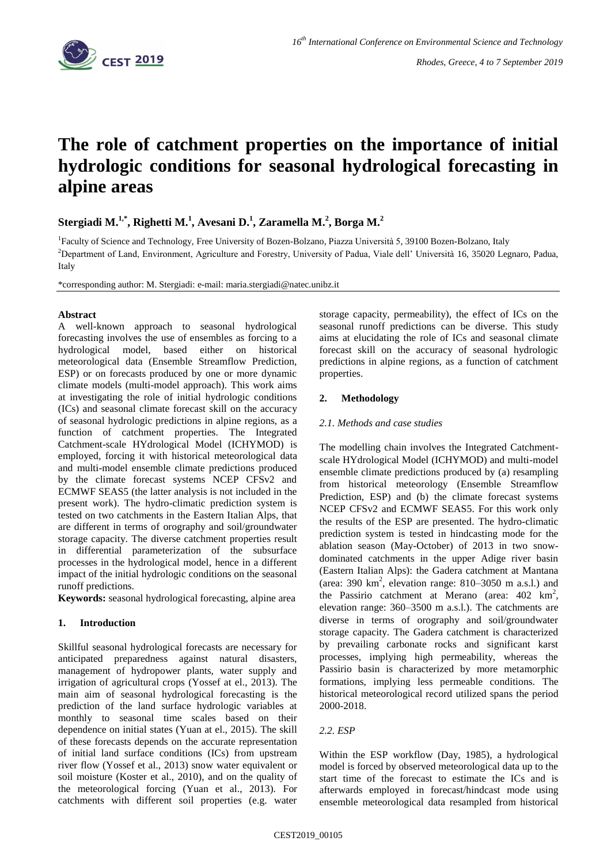

# **The role of catchment properties on the importance of initial hydrologic conditions for seasonal hydrological forecasting in alpine areas**

**Stergiadi M. 1,\* , Righetti M. 1 , Avesani D. 1 , Zaramella M.<sup>2</sup> , Borga M.<sup>2</sup>**

<sup>1</sup>Faculty of Science and Technology, Free University of Bozen-Bolzano, Piazza Università 5, 39100 Bozen-Bolzano, Italy <sup>2</sup>Department of Land, Environment, Agriculture and Forestry, University of Padua, Viale dell' Università 16, 35020 Legnaro, Padua, Italy

\*corresponding author: M. Stergiadi: e-mail: maria.stergiadi@natec.unibz.it

## **Abstract**

A well-known approach to seasonal hydrological forecasting involves the use of ensembles as forcing to a hydrological model, based either on historical meteorological data (Ensemble Streamflow Prediction, ESP) or on forecasts produced by one or more dynamic climate models (multi-model approach). This work aims at investigating the role of initial hydrologic conditions (ICs) and seasonal climate forecast skill on the accuracy of seasonal hydrologic predictions in alpine regions, as a function of catchment properties. The Integrated Catchment-scale HYdrological Model (ICHYMOD) is employed, forcing it with historical meteorological data and multi-model ensemble climate predictions produced by the climate forecast systems NCEP CFSv2 and ECMWF SEAS5 (the latter analysis is not included in the present work). The hydro-climatic prediction system is tested on two catchments in the Eastern Italian Alps, that are different in terms of orography and soil/groundwater storage capacity. The diverse catchment properties result in differential parameterization of the subsurface processes in the hydrological model, hence in a different impact of the initial hydrologic conditions on the seasonal runoff predictions.

**Keywords:** seasonal hydrological forecasting, alpine area

## **1. Introduction**

Skillful seasonal hydrological forecasts are necessary for anticipated preparedness against natural disasters, management of hydropower plants, water supply and irrigation of agricultural crops (Yossef at el., 2013). The main aim of seasonal hydrological forecasting is the prediction of the land surface hydrologic variables at monthly to seasonal time scales based on their dependence on initial states (Yuan at el., 2015). The skill of these forecasts depends on the accurate representation of initial land surface conditions (ICs) from upstream river flow (Yossef et al., 2013) snow water equivalent or soil moisture (Koster et al., 2010), and on the quality of the meteorological forcing (Yuan et al., 2013). For catchments with different soil properties (e.g. water storage capacity, permeability), the effect of ICs on the seasonal runoff predictions can be diverse. This study aims at elucidating the role of ICs and seasonal climate forecast skill on the accuracy of seasonal hydrologic predictions in alpine regions, as a function of catchment properties.

## **2. Methodology**

## *2.1. Methods and case studies*

The modelling chain involves the Integrated Catchmentscale HYdrological Model (ICHYMOD) and multi-model ensemble climate predictions produced by (a) resampling from historical meteorology (Ensemble Streamflow Prediction, ESP) and (b) the climate forecast systems NCEP CFSv2 and ECMWF SEAS5. For this work only the results of the ESP are presented. The hydro-climatic prediction system is tested in hindcasting mode for the ablation season (May-October) of 2013 in two snowdominated catchments in the upper Adige river basin (Eastern Italian Alps): the Gadera catchment at Mantana (area:  $390 \text{ km}^2$ , elevation range:  $810-3050 \text{ m}$  a.s.l.) and the Passirio catchment at Merano (area:  $402 \text{ km}^2$ , elevation range: 360–3500 m a.s.l.). The catchments are diverse in terms of orography and soil/groundwater storage capacity. The Gadera catchment is characterized by prevailing carbonate rocks and significant karst processes, implying high permeability, whereas the Passirio basin is characterized by more metamorphic formations, implying less permeable conditions. The historical meteorological record utilized spans the period 2000-2018.

## *2.2. ESP*

Within the ESP workflow (Day, 1985), a hydrological model is forced by observed meteorological data up to the start time of the forecast to estimate the ICs and is afterwards employed in forecast/hindcast mode using ensemble meteorological data resampled from historical